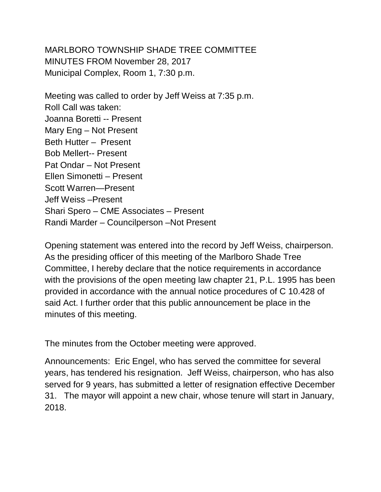MARLBORO TOWNSHIP SHADE TREE COMMITTEE MINUTES FROM November 28, 2017 Municipal Complex, Room 1, 7:30 p.m.

Meeting was called to order by Jeff Weiss at 7:35 p.m. Roll Call was taken: Joanna Boretti -- Present Mary Eng – Not Present Beth Hutter – Present Bob Mellert-- Present Pat Ondar – Not Present Ellen Simonetti – Present Scott Warren—Present Jeff Weiss –Present Shari Spero – CME Associates – Present Randi Marder – Councilperson –Not Present

Opening statement was entered into the record by Jeff Weiss, chairperson. As the presiding officer of this meeting of the Marlboro Shade Tree Committee, I hereby declare that the notice requirements in accordance with the provisions of the open meeting law chapter 21, P.L. 1995 has been provided in accordance with the annual notice procedures of C 10.428 of said Act. I further order that this public announcement be place in the minutes of this meeting.

The minutes from the October meeting were approved.

Announcements: Eric Engel, who has served the committee for several years, has tendered his resignation. Jeff Weiss, chairperson, who has also served for 9 years, has submitted a letter of resignation effective December 31. The mayor will appoint a new chair, whose tenure will start in January, 2018.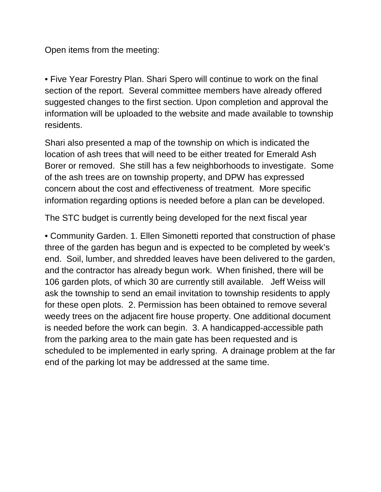Open items from the meeting:

• Five Year Forestry Plan. Shari Spero will continue to work on the final section of the report. Several committee members have already offered suggested changes to the first section. Upon completion and approval the information will be uploaded to the website and made available to township residents.

Shari also presented a map of the township on which is indicated the location of ash trees that will need to be either treated for Emerald Ash Borer or removed. She still has a few neighborhoods to investigate. Some of the ash trees are on township property, and DPW has expressed concern about the cost and effectiveness of treatment. More specific information regarding options is needed before a plan can be developed.

The STC budget is currently being developed for the next fiscal year

• Community Garden. 1. Ellen Simonetti reported that construction of phase three of the garden has begun and is expected to be completed by week's end. Soil, lumber, and shredded leaves have been delivered to the garden, and the contractor has already begun work. When finished, there will be 106 garden plots, of which 30 are currently still available. Jeff Weiss will ask the township to send an email invitation to township residents to apply for these open plots. 2. Permission has been obtained to remove several weedy trees on the adjacent fire house property. One additional document is needed before the work can begin. 3. A handicapped-accessible path from the parking area to the main gate has been requested and is scheduled to be implemented in early spring. A drainage problem at the far end of the parking lot may be addressed at the same time.